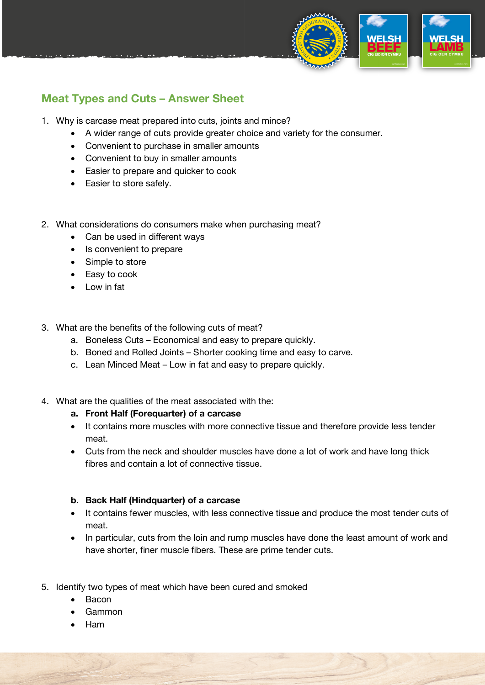

## **Meat Types and Cuts – Answer Sheet**

- 1. Why is carcase meat prepared into cuts, joints and mince?
	- A wider range of cuts provide greater choice and variety for the consumer.
	- Convenient to purchase in smaller amounts
	- Convenient to buy in smaller amounts
	- Easier to prepare and quicker to cook
	- Easier to store safely.
- 2. What considerations do consumers make when purchasing meat?
	- Can be used in different ways
	- Is convenient to prepare
	- Simple to store
	- Easy to cook
	- Low in fat
- 3. What are the benefits of the following cuts of meat?
	- a. Boneless Cuts Economical and easy to prepare quickly.
	- b. Boned and Rolled Joints Shorter cooking time and easy to carve.
	- c. Lean Minced Meat Low in fat and easy to prepare quickly.
- 4. What are the qualities of the meat associated with the:
	- **a. Front Half (Forequarter) of a carcase**
	- It contains more muscles with more connective tissue and therefore provide less tender meat.
	- Cuts from the neck and shoulder muscles have done a lot of work and have long thick fibres and contain a lot of connective tissue.

## **b. Back Half (Hindquarter) of a carcase**

- It contains fewer muscles, with less connective tissue and produce the most tender cuts of meat.
- In particular, cuts from the loin and rump muscles have done the least amount of work and have shorter, finer muscle fibers. These are prime tender cuts.
- 5. Identify two types of meat which have been cured and smoked
	- Bacon
	- Gammon
	- Ham